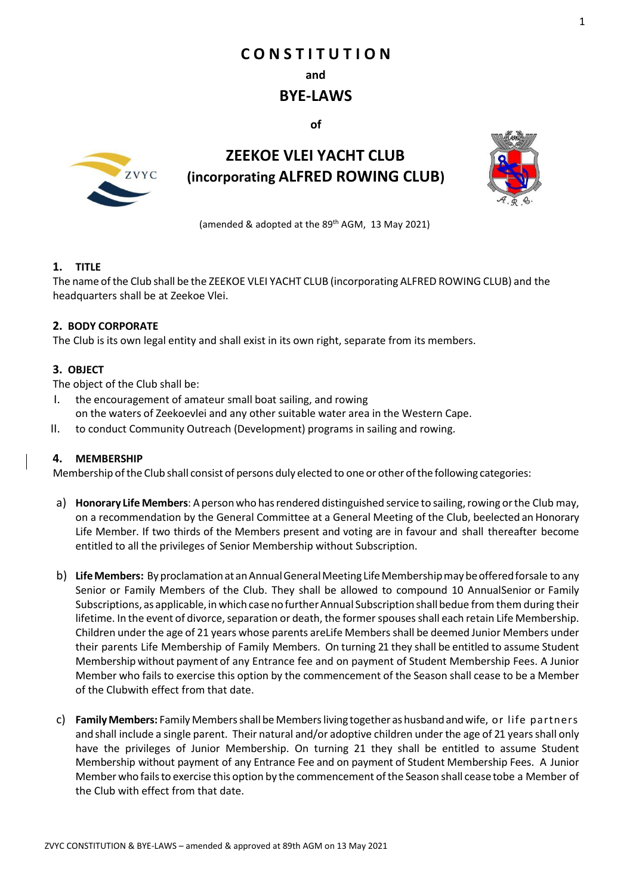# **C O N S T I T U T I O N**

**and**

# **BYE-LAWS**

**of**



# **ZEEKOE VLEI YACHT CLUB (incorporating ALFRED ROWING CLUB)**



(amended & adopted at the 89<sup>th</sup> AGM, 13 May 2021)

# **1. TITLE**

The name ofthe Club shall be the ZEEKOE VLEI YACHT CLUB (incorporating ALFRED ROWING CLUB) and the headquarters shall be at Zeekoe Vlei.

# **2. BODY CORPORATE**

The Club is its own legal entity and shall exist in its own right, separate from its members.

# **3. OBJECT**

The object of the Club shall be:

- I. the encouragement of amateur small boat sailing, and rowing on the waters of Zeekoevlei and any other suitable water area in the Western Cape.
- II. to conduct Community Outreach (Development) programs in sailing and rowing.

# **4. MEMBERSHIP**

Membership ofthe Club shall consist of persons duly elected to one or other ofthe following categories:

- a) **Honorary Life Members**: Apersonwho hasrendered distinguished service to sailing,rowing orthe Club may, on a recommendation by the General Committee at a General Meeting of the Club, beelected an Honorary Life Member. If two thirds of the Members present and voting are in favour and shall thereafter become entitled to all the privileges of Senior Membership without Subscription.
- b) **LifeMembers:** By proclamationat anAnnualGeneralMeeting LifeMembershipmaybeofferedforsale to any Senior or Family Members of the Club. They shall be allowed to compound 10 AnnualSenior or Family Subscriptions, as applicable, in which case no further Annual Subscription shall bedue from them during their lifetime. In the event of divorce, separation or death, the formerspouses shall each retain Life Membership. Children under the age of 21 years whose parents areLife Members shall be deemed Junior Members under their parents Life Membership of Family Members. On turning 21 they shall be entitled to assume Student Membershipwithout payment of any Entrance fee and on payment of Student Membership Fees. A Junior Member who fails to exercise this option by the commencement of the Season shall cease to be a Member of the Clubwith effect from that date.
- c) **Family Members:** Family Membersshall be Membersliving together ashusbandandwife, or life partners and shall include a single parent. Their natural and/or adoptive children underthe age of 21 yearsshall only have the privileges of Junior Membership. On turning 21 they shall be entitled to assume Student Membership without payment of any Entrance Fee and on payment of Student Membership Fees. A Junior Memberwho failsto exercise this option by the commencement ofthe Season shall cease tobe a Member of the Club with effect from that date.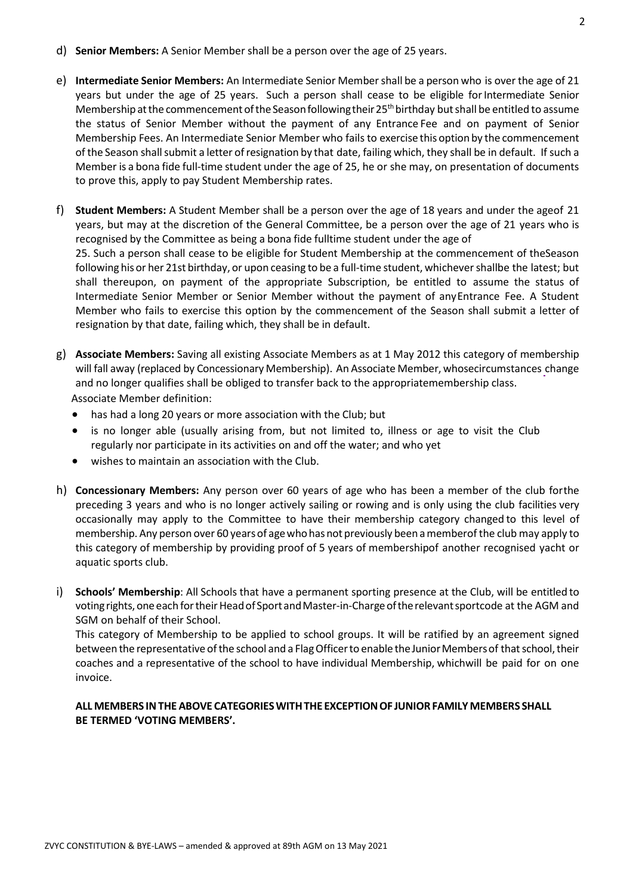- d) **Senior Members:** A Senior Member shall be a person over the age of 25 years.
- e) **Intermediate Senior Members:** An Intermediate Senior Membershall be a person who is over the age of 21 years but under the age of 25 years. Such a person shall cease to be eligible for Intermediate Senior Membership at the commencement of the Season following their 25<sup>th</sup> birthday but shall be entitled to assume the status of Senior Member without the payment of any Entrance Fee and on payment of Senior Membership Fees. An Intermediate Senior Member who fails to exercise this option by the commencement of the Season shall submit a letter of resignation by that date, failing which, they shall be in default. If such a Member is a bona fide full-time student under the age of 25, he or she may, on presentation of documents to prove this, apply to pay Student Membership rates.
- f) **Student Members:** A Student Member shall be a person over the age of 18 years and under the ageof 21 years, but may at the discretion of the General Committee, be a person over the age of 21 years who is recognised by the Committee as being a bona fide fulltime student under the age of 25. Such a person shall cease to be eligible for Student Membership at the commencement of theSeason following his or her 21st birthday, or upon ceasing to be a full-time student, whichevershallbe the latest; but shall thereupon, on payment of the appropriate Subscription, be entitled to assume the status of Intermediate Senior Member or Senior Member without the payment of anyEntrance Fee. A Student Member who fails to exercise this option by the commencement of the Season shall submit a letter of resignation by that date, failing which, they shall be in default.
- g) **Associate Members:** Saving all existing Associate Members as at 1 May 2012 this category of membership will fall away (replaced by Concessionary Membership). An Associate Member, whosecircumstances change and no longer qualifies shall be obliged to transfer back to the appropriatemembership class. Associate Member definition:
	- has had a long 20 years or more association with the Club; but
	- is no longer able (usually arising from, but not limited to, illness or age to visit the Club regularly nor participate in its activities on and off the water; and who yet
	- wishes to maintain an association with the Club.
- h) **Concessionary Members:** Any person over 60 years of age who has been a member of the club forthe preceding 3 years and who is no longer actively sailing or rowing and is only using the club facilities very occasionally may apply to the Committee to have their membership category changed to this level of membership. Any person over 60 yearsof agewhohasnot previously been amemberof the club may apply to this category of membership by providing proof of 5 years of membershipof another recognised yacht or aquatic sports club.
- i) **Schools' Membership**: All Schools that have a permanent sporting presence at the Club, will be entitled to voting rights, one each for their Head of Sport and Master-in-Charge of the relevant sportcode at the AGM and SGM on behalf of their School.

This category of Membership to be applied to school groups. It will be ratified by an agreement signed between the representative of the school and a Flag Officer to enable the Junior Members of that school, their coaches and a representative of the school to have individual Membership, whichwill be paid for on one invoice.

# **ALL MEMBERS INTHE ABOVE CATEGORIESWITHTHE EXCEPTIONOF JUNIORFAMILYMEMBERS SHALL BE TERMED 'VOTING MEMBERS'.**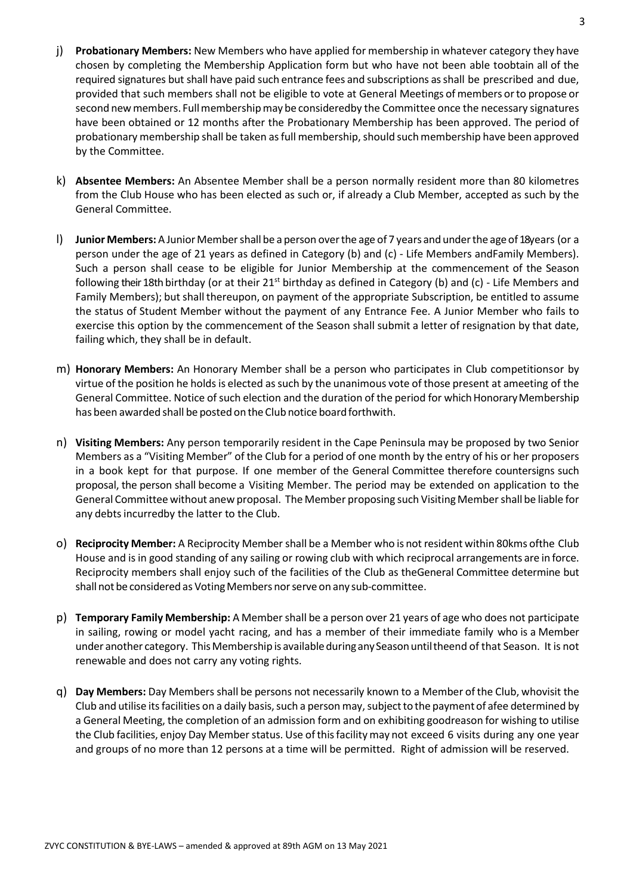- j) **Probationary Members:** New Members who have applied for membership in whatever category they have chosen by completing the Membership Application form but who have not been able toobtain all of the required signatures but shall have paid such entrance fees and subscriptions asshall be prescribed and due, provided that such members shall not be eligible to vote at General Meetings of members orto propose or second new members. Full membership may be consideredby the Committee once the necessary signatures have been obtained or 12 months after the Probationary Membership has been approved. The period of probationary membership shall be taken as full membership, should such membership have been approved by the Committee.
- k) **Absentee Members:** An Absentee Member shall be a person normally resident more than 80 kilometres from the Club House who has been elected as such or, if already a Club Member, accepted as such by the General Committee.
- l) **Junior Members:** AJuniorMembershall be a person overthe age of 7 years andunderthe ageof18years (or a person under the age of 21 years as defined in Category (b) and (c) - Life Members andFamily Members). Such a person shall cease to be eligible for Junior Membership at the commencement of the Season following their 18th birthday (or at their 21<sup>st</sup> birthday as defined in Category (b) and (c) - Life Members and Family Members); but shall thereupon, on payment of the appropriate Subscription, be entitled to assume the status of Student Member without the payment of any Entrance Fee. A Junior Member who fails to exercise this option by the commencement of the Season shall submit a letter of resignation by that date, failing which, they shall be in default.
- m) **Honorary Members:** An Honorary Member shall be a person who participates in Club competitionsor by virtue of the position he holdsis elected assuch by the unanimous vote of those present at ameeting of the General Committee. Notice of such election and the duration of the period for which Honorary Membership has been awarded shall be posted on the Club notice board forthwith.
- n) **Visiting Members:** Any person temporarily resident in the Cape Peninsula may be proposed by two Senior Members as a "Visiting Member" of the Club for a period of one month by the entry of his or her proposers in a book kept for that purpose. If one member of the General Committee therefore countersigns such proposal, the person shall become a Visiting Member. The period may be extended on application to the General Committee without anew proposal. The Member proposing such Visiting Member shall be liable for any debts incurredby the latter to the Club.
- o) **Reciprocity Member:** A Reciprocity Member shall be a Member who is not resident within 80kms ofthe Club House and is in good standing of any sailing or rowing club with which reciprocal arrangements are in force. Reciprocity members shall enjoy such of the facilities of the Club as theGeneral Committee determine but shall not be considered as Voting Members nor serve on any sub-committee.
- p) **Temporary Family Membership:** A Member shall be a person over 21 years of age who does not participate in sailing, rowing or model yacht racing, and has a member of their immediate family who is a Member under another category. This Membership is available during any Season until theend of that Season. It is not renewable and does not carry any voting rights.
- q) **Day Members:** Day Members shall be persons not necessarily known to a Member of the Club, whovisit the Club and utilise its facilities on a daily basis, such a person may, subject to the payment of afee determined by a General Meeting, the completion of an admission form and on exhibiting goodreason for wishing to utilise the Club facilities, enjoy Day Member status. Use of this facility may not exceed 6 visits during any one year and groups of no more than 12 persons at a time will be permitted. Right of admission will be reserved.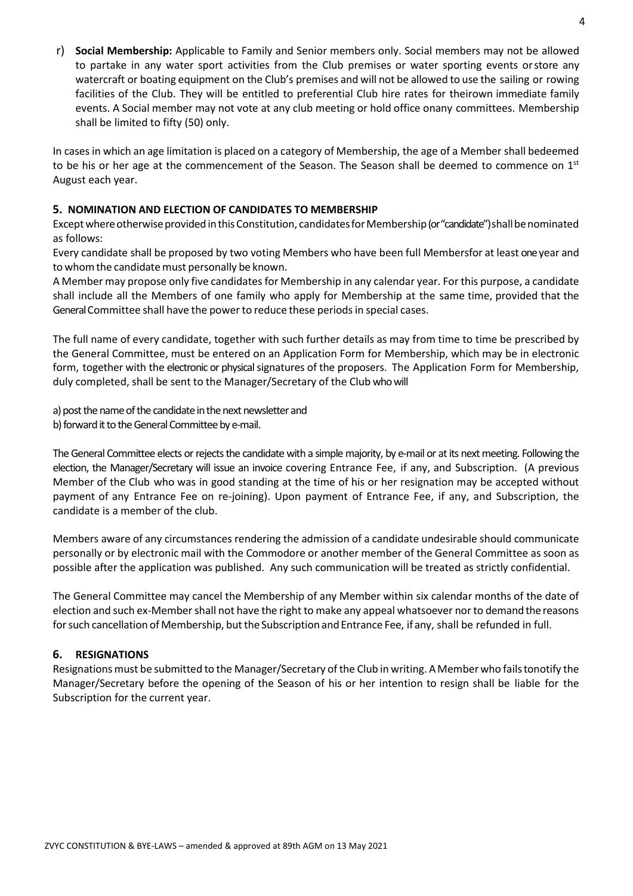r) **Social Membership:** Applicable to Family and Senior members only. Social members may not be allowed to partake in any water sport activities from the Club premises or water sporting events orstore any watercraft or boating equipment on the Club's premises and will not be allowed to use the sailing or rowing facilities of the Club. They will be entitled to preferential Club hire rates for theirown immediate family events. A Social member may not vote at any club meeting or hold office onany committees. Membership shall be limited to fifty (50) only.

In cases in which an age limitation is placed on a category of Membership, the age of a Member shall bedeemed to be his or her age at the commencement of the Season. The Season shall be deemed to commence on  $1<sup>st</sup>$ August each year.

### **5. NOMINATION AND ELECTION OF CANDIDATES TO MEMBERSHIP**

Except where otherwise provided in this Constitution, candidates for Membership (or "candidate") shall be nominated as follows:

Every candidate shall be proposed by two voting Members who have been full Membersfor at least oneyear and to whom the candidate must personally be known.

A Member may propose only five candidates for Membership in any calendar year. For this purpose, a candidate shall include all the Members of one family who apply for Membership at the same time, provided that the General Committee shall have the power to reduce these periodsin special cases.

The full name of every candidate, together with such further details as may from time to time be prescribed by the General Committee, must be entered on an Application Form for Membership, which may be in electronic form, together with the electronic or physical signatures of the proposers. The Application Form for Membership, duly completed, shall be sent to the Manager/Secretary of the Club who will

a) post the name of the candidate in the next newsletter and b) forward it to the General Committee by e-mail.

The General Committee elects or rejects the candidate with a simple majority, by e-mail or at its next meeting. Following the election, the Manager/Secretary will issue an invoice covering Entrance Fee, if any, and Subscription. (A previous Member of the Club who was in good standing at the time of his or her resignation may be accepted without payment of any Entrance Fee on re-joining). Upon payment of Entrance Fee, if any, and Subscription, the candidate is a member of the club.

Members aware of any circumstances rendering the admission of a candidate undesirable should communicate personally or by electronic mail with the Commodore or another member of the General Committee as soon as possible after the application was published. Any such communication will be treated as strictly confidential.

The General Committee may cancel the Membership of any Member within six calendar months of the date of election and such ex-Member shall not have the right to make any appeal whatsoever nor to demand the reasons for such cancellation of Membership, but the Subscription and Entrance Fee, if any, shall be refunded in full.

#### **6. RESIGNATIONS**

Resignations must be submitted to the Manager/Secretary of the Club in writing. A Member who fails tonotify the Manager/Secretary before the opening of the Season of his or her intention to resign shall be liable for the Subscription for the current year.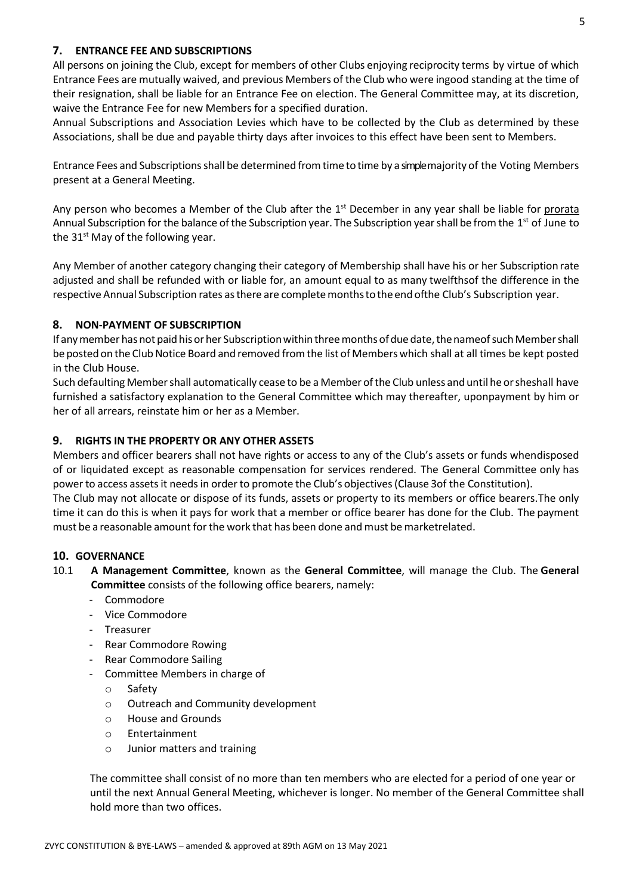### **7. ENTRANCE FEE AND SUBSCRIPTIONS**

All persons on joining the Club, except for members of other Clubs enjoying reciprocity terms by virtue of which Entrance Fees are mutually waived, and previous Members of the Club who were ingood standing at the time of their resignation, shall be liable for an Entrance Fee on election. The General Committee may, at its discretion, waive the Entrance Fee for new Members for a specified duration.

Annual Subscriptions and Association Levies which have to be collected by the Club as determined by these Associations, shall be due and payable thirty days after invoices to this effect have been sent to Members.

Entrance Fees and Subscriptions shall be determined from time to time by a simplemajority of the Voting Members present at a General Meeting.

Any person who becomes a Member of the Club after the 1<sup>st</sup> December in any year shall be liable for prorata Annual Subscription for the balance of the Subscription year. The Subscription year shall be from the 1<sup>st</sup> of June to the  $31<sup>st</sup>$  May of the following year.

Any Member of another category changing their category of Membership shall have his or her Subscription rate adjusted and shall be refunded with or liable for, an amount equal to as many twelfthsof the difference in the respective Annual Subscription rates asthere are completemonthstothe end ofthe Club's Subscription year.

#### **8. NON-PAYMENT OF SUBSCRIPTION**

If any member has not paid his or her Subscription within three months of due date, the nameof such Member shall be posted on the Club Notice Board and removed from the list of Members which shall at all times be kept posted in the Club House.

Such defaulting Member shall automatically cease to be a Member of the Club unless and until he or sheshall have furnished a satisfactory explanation to the General Committee which may thereafter, uponpayment by him or her of all arrears, reinstate him or her as a Member.

#### **9. RIGHTS IN THE PROPERTY OR ANY OTHER ASSETS**

Members and officer bearers shall not have rights or access to any of the Club's assets or funds whendisposed of or liquidated except as reasonable compensation for services rendered. The General Committee only has power to access assetsit needsin order to promote the Club's objectives(Clause 3of the Constitution). The Club may not allocate or dispose of its funds, assets or property to its members or office bearers.The only time it can do this is when it pays for work that a member or office bearer has done for the Club. The payment must be a reasonable amount forthe work that has been done and must be marketrelated.

#### **10. GOVERNANCE**

- 10.1 **A Management Committee**, known as the **General Committee**, will manage the Club. The **General Committee** consists of the following office bearers, namely:
	- **Commodore**
	- Vice Commodore
	- Treasurer
	- Rear Commodore Rowing
	- Rear Commodore Sailing
	- Committee Members in charge of
		- o Safety
		- o Outreach and Community development
		- o House and Grounds
		- o Entertainment
		- o Junior matters and training

The committee shall consist of no more than ten members who are elected for a period of one year or until the next Annual General Meeting, whichever is longer. No member of the General Committee shall hold more than two offices.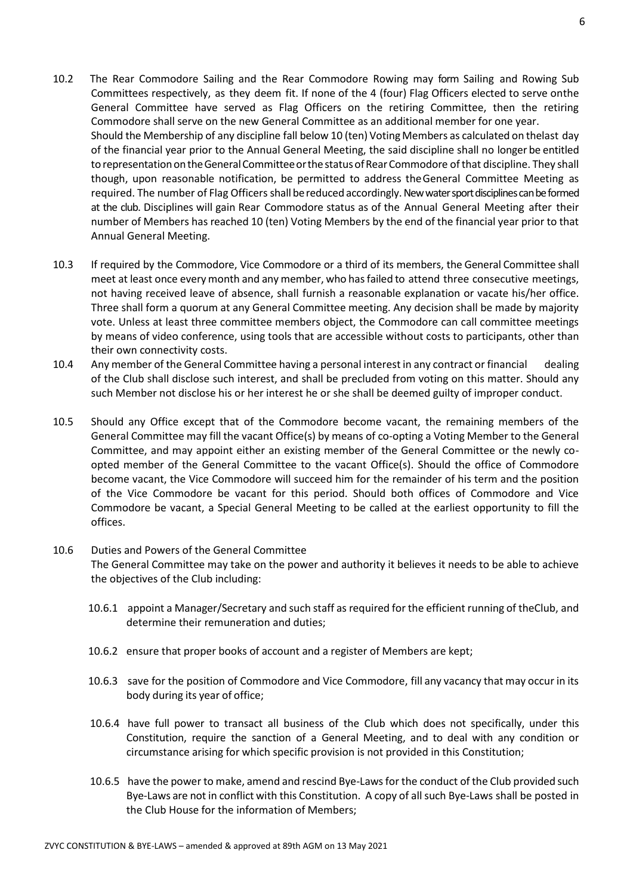- 10.2 The Rear Commodore Sailing and the Rear Commodore Rowing may form Sailing and Rowing Sub Committees respectively, as they deem fit. If none of the 4 (four) Flag Officers elected to serve onthe General Committee have served as Flag Officers on the retiring Committee, then the retiring Commodore shall serve on the new General Committee as an additional member for one year. Should the Membership of any discipline fall below 10 (ten) Voting Members as calculated on thelast day of the financial year prior to the Annual General Meeting, the said discipline shall no longer be entitled to representation on the General Committee or the status of Rear Commodore of that discipline. They shall though, upon reasonable notification, be permitted to address theGeneral Committee Meeting as required. The number of Flag Officers shall be reduced accordingly. New water sport disciplines can be formed at the club. Disciplines will gain Rear Commodore status as of the Annual General Meeting after their number of Members has reached 10 (ten) Voting Members by the end of the financial year prior to that Annual General Meeting.
- 10.3 If required by the Commodore, Vice Commodore or a third of its members, the General Committee shall meet at least once every month and any member, who hasfailed to attend three consecutive meetings, not having received leave of absence, shall furnish a reasonable explanation or vacate his/her office. Three shall form a quorum at any General Committee meeting. Any decision shall be made by majority vote. Unless at least three committee members object, the Commodore can call committee meetings by means of video conference, using tools that are accessible without costs to participants, other than their own connectivity costs.
- 10.4 Any member of the General Committee having a personal interest in any contract or financial dealing of the Club shall disclose such interest, and shall be precluded from voting on this matter. Should any such Member not disclose his or her interest he or she shall be deemed guilty of improper conduct.
- 10.5 Should any Office except that of the Commodore become vacant, the remaining members of the General Committee may fill the vacant Office(s) by means of co-opting a Voting Member to the General Committee, and may appoint either an existing member of the General Committee or the newly coopted member of the General Committee to the vacant Office(s). Should the office of Commodore become vacant, the Vice Commodore will succeed him for the remainder of his term and the position of the Vice Commodore be vacant for this period. Should both offices of Commodore and Vice Commodore be vacant, a Special General Meeting to be called at the earliest opportunity to fill the offices.

# 10.6 Duties and Powers of the General Committee The General Committee may take on the power and authority it believes it needs to be able to achieve the objectives of the Club including:

- 10.6.1 appoint a Manager/Secretary and such staff as required for the efficient running of theClub, and determine their remuneration and duties;
- 10.6.2 ensure that proper books of account and a register of Members are kept;
- 10.6.3 save for the position of Commodore and Vice Commodore, fill any vacancy that may occur in its body during its year of office;
- 10.6.4 have full power to transact all business of the Club which does not specifically, under this Constitution, require the sanction of a General Meeting, and to deal with any condition or circumstance arising for which specific provision is not provided in this Constitution;
- 10.6.5 have the power to make, amend and rescind Bye-Laws for the conduct of the Club provided such Bye-Laws are not in conflict with this Constitution. A copy of all such Bye-Laws shall be posted in the Club House for the information of Members;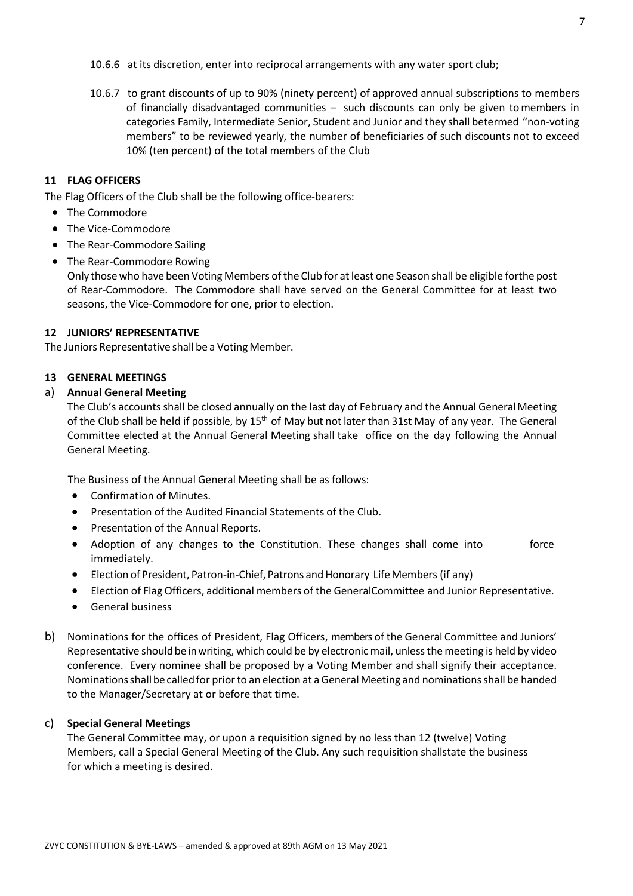10.6.6 at its discretion, enter into reciprocal arrangements with any water sport club;

10.6.7 to grant discounts of up to 90% (ninety percent) of approved annual subscriptions to members of financially disadvantaged communities – such discounts can only be given tomembers in categories Family, Intermediate Senior, Student and Junior and they shall betermed "non-voting members" to be reviewed yearly, the number of beneficiaries of such discounts not to exceed 10% (ten percent) of the total members of the Club

#### **11 FLAG OFFICERS**

The Flag Officers of the Club shall be the following office-bearers:

- The Commodore
- The Vice-Commodore
- The Rear-Commodore Sailing
- The Rear-Commodore Rowing

Only those who have been Voting Members ofthe Club for atleast one Season shall be eligible forthe post of Rear-Commodore. The Commodore shall have served on the General Committee for at least two seasons, the Vice-Commodore for one, prior to election.

#### **12 JUNIORS' REPRESENTATIVE**

The Juniors Representative shall be a Voting Member.

#### **13 GENERAL MEETINGS**

#### a) **Annual General Meeting**

The Club's accounts shall be closed annually on the last day of February and the Annual GeneralMeeting of the Club shall be held if possible, by  $15<sup>th</sup>$  of May but not later than 31st May of any year. The General Committee elected at the Annual General Meeting shall take office on the day following the Annual General Meeting.

The Business of the Annual General Meeting shall be as follows:

- Confirmation of Minutes.
- Presentation of the Audited Financial Statements of the Club.
- Presentation of the Annual Reports.
- Adoption of any changes to the Constitution. These changes shall come into force immediately.
- Election of President, Patron-in-Chief, Patrons and Honorary Life Members (if any)
- Election of Flag Officers, additional members of the GeneralCommittee and Junior Representative.
- General business
- b) Nominations for the offices of President, Flag Officers, members of the General Committee and Juniors' Representative should be in writing, which could be by electronic mail, unless the meeting is held by video conference. Every nominee shall be proposed by a Voting Member and shall signify their acceptance. Nominations shall be called for prior to an election at a General Meeting and nominations shall be handed to the Manager/Secretary at or before that time.

#### c) **Special General Meetings**

The General Committee may, or upon a requisition signed by no less than 12 (twelve) Voting Members, call a Special General Meeting of the Club. Any such requisition shallstate the business for which a meeting is desired.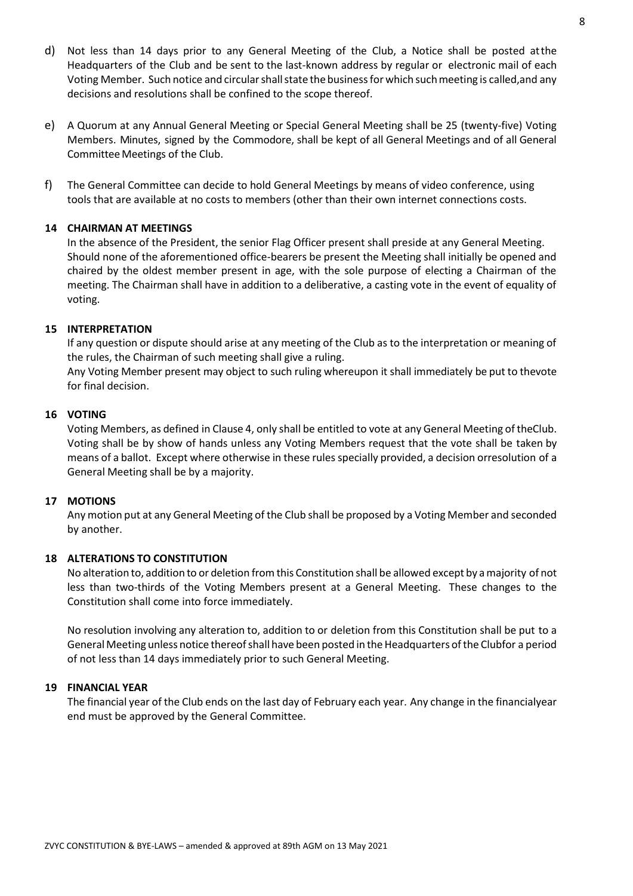- d) Not less than 14 days prior to any General Meeting of the Club, a Notice shall be posted atthe Headquarters of the Club and be sent to the last-known address by regular or electronic mail of each Voting Member. Such notice and circular shall state the business for which such meeting is called, and any decisions and resolutions shall be confined to the scope thereof.
- e) A Quorum at any Annual General Meeting or Special General Meeting shall be 25 (twenty-five) Voting Members. Minutes, signed by the Commodore, shall be kept of all General Meetings and of all General Committee Meetings of the Club.
- f) The General Committee can decide to hold General Meetings by means of video conference, using tools that are available at no costs to members (other than their own internet connections costs.

#### **14 CHAIRMAN AT MEETINGS**

In the absence of the President, the senior Flag Officer present shall preside at any General Meeting. Should none of the aforementioned office-bearers be present the Meeting shall initially be opened and chaired by the oldest member present in age, with the sole purpose of electing a Chairman of the meeting. The Chairman shall have in addition to a deliberative, a casting vote in the event of equality of voting.

#### **15 INTERPRETATION**

If any question or dispute should arise at any meeting of the Club as to the interpretation or meaning of the rules, the Chairman of such meeting shall give a ruling.

Any Voting Member present may object to such ruling whereupon it shall immediately be put to thevote for final decision.

#### **16 VOTING**

Voting Members, as defined in Clause 4, only shall be entitled to vote at any General Meeting of theClub. Voting shall be by show of hands unless any Voting Members request that the vote shall be taken by means of a ballot. Except where otherwise in these rules specially provided, a decision orresolution of a General Meeting shall be by a majority.

#### **17 MOTIONS**

Any motion put at any General Meeting of the Club shall be proposed by a Voting Member and seconded by another.

#### **18 ALTERATIONS TO CONSTITUTION**

No alteration to, addition to or deletion from this Constitution shall be allowed except by amajority of not less than two-thirds of the Voting Members present at a General Meeting. These changes to the Constitution shall come into force immediately.

No resolution involving any alteration to, addition to or deletion from this Constitution shall be put to a General Meeting unless notice thereof shall have been posted in the Headquarters of the Clubfor a period of not less than 14 days immediately prior to such General Meeting.

#### **19 FINANCIAL YEAR**

The financial year of the Club ends on the last day of February each year. Any change in the financialyear end must be approved by the General Committee.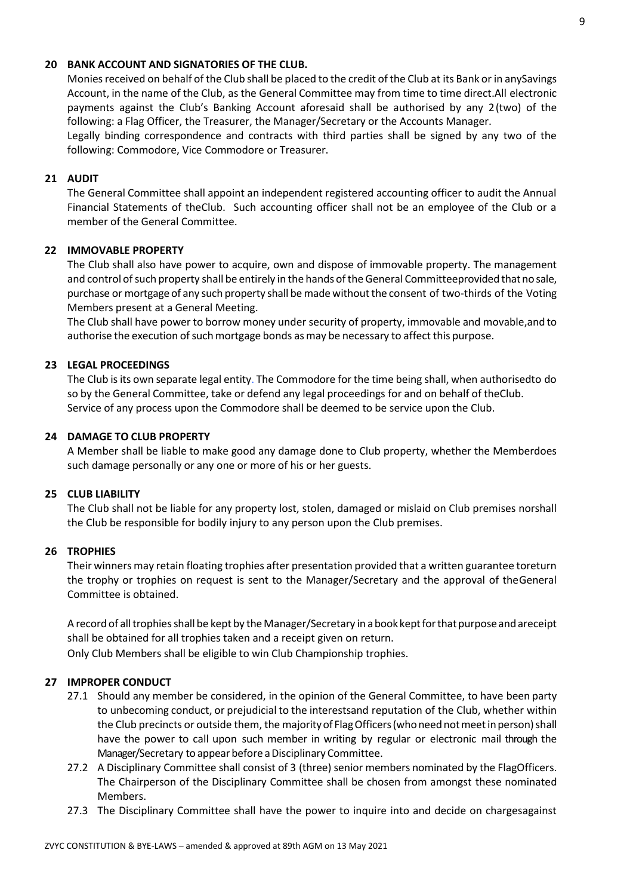#### **20 BANK ACCOUNT AND SIGNATORIES OF THE CLUB.**

Monies received on behalf of the Club shall be placed to the credit of the Club at its Bank or in anySavings Account, in the name of the Club, as the General Committee may from time to time direct.All electronic payments against the Club's Banking Account aforesaid shall be authorised by any 2(two) of the following: a Flag Officer, the Treasurer, the Manager/Secretary or the Accounts Manager.

Legally binding correspondence and contracts with third parties shall be signed by any two of the following: Commodore, Vice Commodore or Treasurer.

#### **21 AUDIT**

The General Committee shall appoint an independent registered accounting officer to audit the Annual Financial Statements of theClub. Such accounting officer shall not be an employee of the Club or a member of the General Committee.

#### **22 IMMOVABLE PROPERTY**

The Club shall also have power to acquire, own and dispose of immovable property. The management and control of such property shall be entirely in the hands of the General Committeeprovided that no sale, purchase or mortgage of any such property shall bemade withoutthe consent of two-thirds of the Voting Members present at a General Meeting.

The Club shall have power to borrow money under security of property, immovable and movable,and to authorise the execution of such mortgage bonds as may be necessary to affect this purpose.

#### **23 LEGAL PROCEEDINGS**

The Club is its own separate legal entity. The Commodore for the time being shall, when authorisedto do so by the General Committee, take or defend any legal proceedings for and on behalf of theClub. Service of any process upon the Commodore shall be deemed to be service upon the Club.

#### **24 DAMAGE TO CLUB PROPERTY**

A Member shall be liable to make good any damage done to Club property, whether the Memberdoes such damage personally or any one or more of his or her guests.

#### **25 CLUB LIABILITY**

The Club shall not be liable for any property lost, stolen, damaged or mislaid on Club premises norshall the Club be responsible for bodily injury to any person upon the Club premises.

#### **26 TROPHIES**

Their winners may retain floating trophies after presentation provided that a written guarantee toreturn the trophy or trophies on request is sent to the Manager/Secretary and the approval of theGeneral Committee is obtained.

A record of all trophies shall be kept by the Manager/Secretary in a book kept for that purpose and areceipt shall be obtained for all trophies taken and a receipt given on return.

Only Club Members shall be eligible to win Club Championship trophies.

#### **27 IMPROPER CONDUCT**

- 27.1 Should any member be considered, in the opinion of the General Committee, to have been party to unbecoming conduct, or prejudicial to the interestsand reputation of the Club, whether within the Club precincts or outside them, the majority of Flag Officers (who need not meet in person) shall have the power to call upon such member in writing by regular or electronic mail through the Manager/Secretary to appear before aDisciplinary Committee.
- 27.2 A Disciplinary Committee shall consist of 3 (three) senior members nominated by the FlagOfficers. The Chairperson of the Disciplinary Committee shall be chosen from amongst these nominated Members.
- 27.3 The Disciplinary Committee shall have the power to inquire into and decide on chargesagainst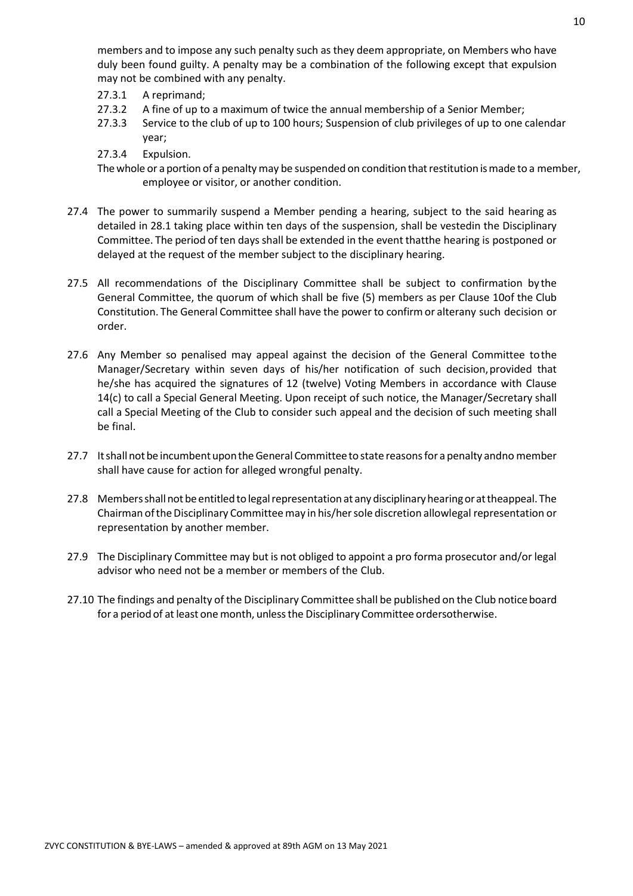members and to impose any such penalty such as they deem appropriate, on Members who have duly been found guilty. A penalty may be a combination of the following except that expulsion may not be combined with any penalty.

- 27.3.1 A reprimand;
- 27.3.2 A fine of up to a maximum of twice the annual membership of a Senior Member;
- 27.3.3 Service to the club of up to 100 hours; Suspension of club privileges of up to one calendar year;
- 27.3.4 Expulsion.

The whole or a portion of a penalty may be suspended on condition that restitution is made to a member, employee or visitor, or another condition.

- 27.4 The power to summarily suspend a Member pending a hearing, subject to the said hearing as detailed in 28.1 taking place within ten days of the suspension, shall be vestedin the Disciplinary Committee. The period of ten daysshall be extended in the event thatthe hearing is postponed or delayed at the request of the member subject to the disciplinary hearing.
- 27.5 All recommendations of the Disciplinary Committee shall be subject to confirmation by the General Committee, the quorum of which shall be five (5) members as per Clause 10of the Club Constitution. The General Committee shall have the power to confirmor alterany such decision or order.
- 27.6 Any Member so penalised may appeal against the decision of the General Committee tothe Manager/Secretary within seven days of his/her notification of such decision,provided that he/she has acquired the signatures of 12 (twelve) Voting Members in accordance with Clause 14(c) to call a Special General Meeting. Upon receipt of such notice, the Manager/Secretary shall call a Special Meeting of the Club to consider such appeal and the decision of such meeting shall be final.
- 27.7 It shall not be incumbent upon the General Committee to state reasons for a penalty andno member shall have cause for action for alleged wrongful penalty.
- 27.8 Members shall not be entitled to legal representation at any disciplinary hearing or at theappeal. The Chairman of the Disciplinary Committee may in his/her sole discretion allowlegal representation or representation by another member.
- 27.9 The Disciplinary Committee may but is not obliged to appoint a pro forma prosecutor and/or legal advisor who need not be a member or members of the Club.
- 27.10 The findings and penalty of the Disciplinary Committee shall be published on the Club noticeboard for a period of at least one month, unless the Disciplinary Committee ordersotherwise.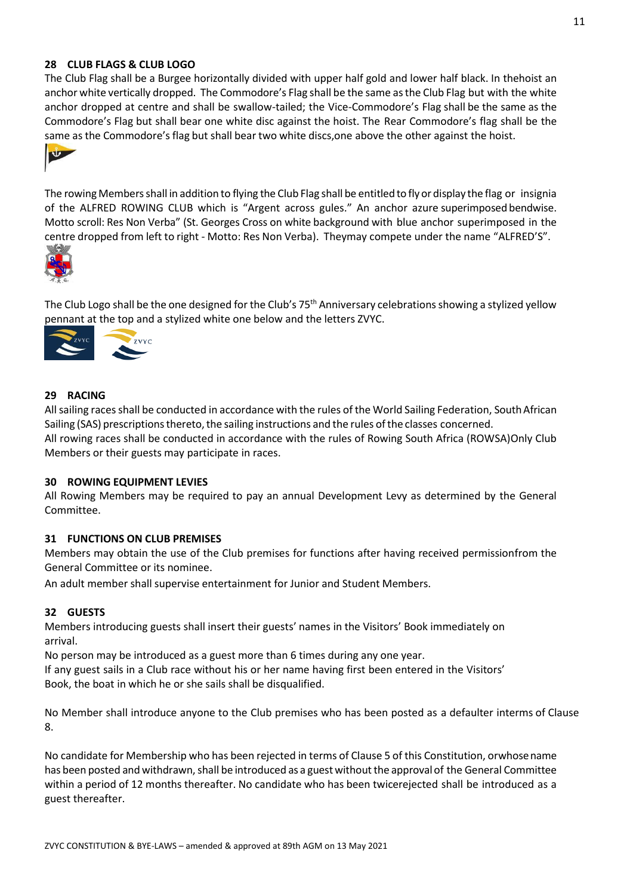#### **28 CLUB FLAGS & CLUB LOGO**

The Club Flag shall be a Burgee horizontally divided with upper half gold and lower half black. In thehoist an anchor white vertically dropped. The Commodore's Flag shall be the same asthe Club Flag but with the white anchor dropped at centre and shall be swallow-tailed; the Vice-Commodore's Flag shall be the same as the Commodore's Flag but shall bear one white disc against the hoist. The Rear Commodore's flag shall be the same as the Commodore's flag but shall bear two white discs, one above the other against the hoist.



The rowing Members shall in addition to flying the Club Flag shall be entitled to fly or display the flag or insignia of the ALFRED ROWING CLUB which is "Argent across gules." An anchor azure superimposed bendwise. Motto scroll: Res Non Verba" (St. Georges Cross on white background with blue anchor superimposed in the centre dropped from left to right - Motto: Res Non Verba). Theymay compete under the name "ALFRED'S".



The Club Logo shall be the one designed for the Club's  $75<sup>th</sup>$  Anniversary celebrations showing a stylized yellow pennant at the top and a stylized white one below and the letters ZVYC.



#### **29 RACING**

All sailing races shall be conducted in accordance with the rules of the World Sailing Federation, SouthAfrican Sailing (SAS) prescriptions thereto, the sailing instructions and the rules of the classes concerned. All rowing races shall be conducted in accordance with the rules of Rowing South Africa (ROWSA)Only Club Members or their guests may participate in races.

#### **30 ROWING EQUIPMENT LEVIES**

All Rowing Members may be required to pay an annual Development Levy as determined by the General Committee.

#### **31 FUNCTIONS ON CLUB PREMISES**

Members may obtain the use of the Club premises for functions after having received permissionfrom the General Committee or its nominee.

An adult member shall supervise entertainment for Junior and Student Members.

#### **32 GUESTS**

Members introducing guests shall insert their guests' names in the Visitors' Book immediately on arrival.

No person may be introduced as a guest more than 6 times during any one year.

If any guest sails in a Club race without his or her name having first been entered in the Visitors' Book, the boat in which he or she sails shall be disqualified.

No Member shall introduce anyone to the Club premises who has been posted as a defaulter interms of Clause 8.

No candidate for Membership who has been rejected in terms of Clause 5 of this Constitution, orwhosename has been posted and withdrawn, shall be introduced as a guest without the approval of the General Committee within a period of 12 months thereafter. No candidate who has been twicerejected shall be introduced as a guest thereafter.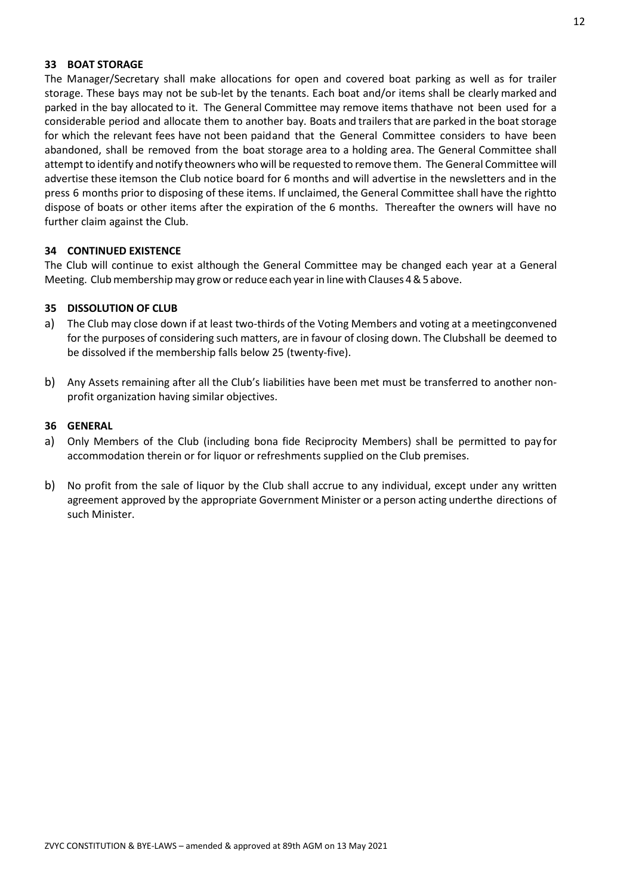#### **33 BOAT STORAGE**

The Manager/Secretary shall make allocations for open and covered boat parking as well as for trailer storage. These bays may not be sub-let by the tenants. Each boat and/or items shall be clearly marked and parked in the bay allocated to it. The General Committee may remove items thathave not been used for a considerable period and allocate them to another bay. Boats and trailersthat are parked in the boat storage for which the relevant fees have not been paidand that the General Committee considers to have been abandoned, shall be removed from the boat storage area to a holding area. The General Committee shall attemptto identify and notify theowners who will be requested to remove them. The General Committee will advertise these itemson the Club notice board for 6 months and will advertise in the newsletters and in the press 6 months prior to disposing of these items. If unclaimed, the General Committee shall have the rightto dispose of boats or other items after the expiration of the 6 months. Thereafter the owners will have no further claim against the Club.

#### **34 CONTINUED EXISTENCE**

The Club will continue to exist although the General Committee may be changed each year at a General Meeting. Club membership may grow or reduce each year in line with Clauses 4 & 5 above.

#### **35 DISSOLUTION OF CLUB**

- a) The Club may close down if at least two-thirds of the Voting Members and voting at a meetingconvened for the purposes of considering such matters, are in favour of closing down. The Clubshall be deemed to be dissolved if the membership falls below 25 (twenty-five).
- b) Any Assets remaining after all the Club's liabilities have been met must be transferred to another nonprofit organization having similar objectives.

#### **36 GENERAL**

- a) Only Members of the Club (including bona fide Reciprocity Members) shall be permitted to pay for accommodation therein or for liquor or refreshments supplied on the Club premises.
- b) No profit from the sale of liquor by the Club shall accrue to any individual, except under any written agreement approved by the appropriate Government Minister or a person acting underthe directions of such Minister.